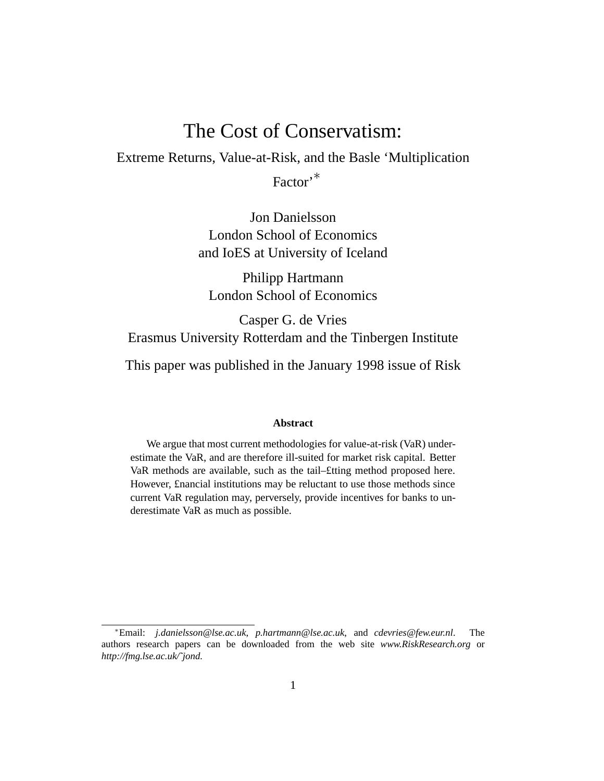# The Cost of Conservatism:

Extreme Returns, Value-at-Risk, and the Basle 'Multiplication

Factor<sup>,\*</sup>

Jon Danielsson London School of Economics and IoES at University of Iceland

Philipp Hartmann London School of Economics

Casper G. de Vries Erasmus University Rotterdam and the Tinbergen Institute

This paper was published in the January 1998 issue of Risk

#### **Abstract**

We argue that most current methodologies for value-at-risk (VaR) underestimate the VaR, and are therefore ill-suited for market risk capital. Better VaR methods are available, such as the tail–£tting method proposed here. However, £nancial institutions may be reluctant to use those methods since current VaR regulation may, perversely, provide incentives for banks to underestimate VaR as much as possible.

<sup>∗</sup>Email: *j.danielsson@lse.ac.uk*, *p.hartmann@lse.ac.uk*, and *cdevries@few.eur.nl*. The authors research papers can be downloaded from the web site *www.RiskResearch.org* or *http://fmg.lse.ac.uk/˜jond.*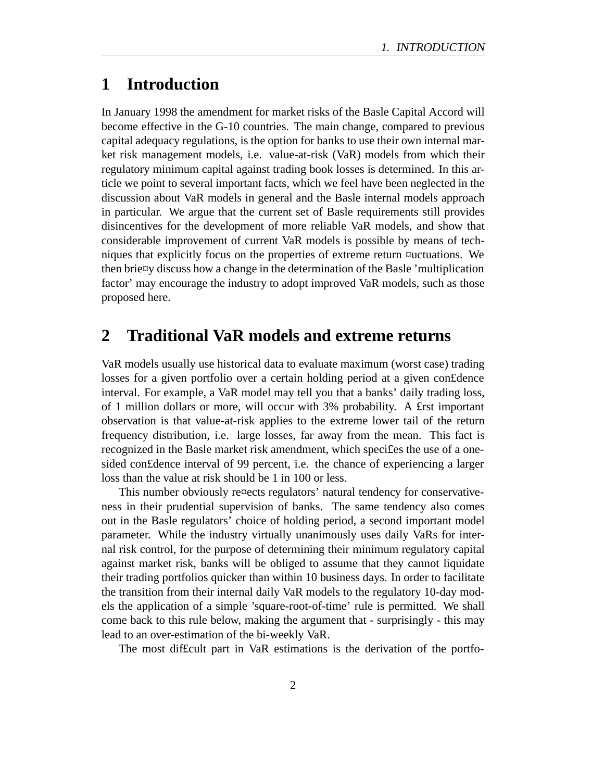# **1 Introduction**

In January 1998 the amendment for market risks of the Basle Capital Accord will become effective in the G-10 countries. The main change, compared to previous capital adequacy regulations, is the option for banks to use their own internal market risk management models, i.e. value-at-risk (VaR) models from which their regulatory minimum capital against trading book losses is determined. In this article we point to several important facts, which we feel have been neglected in the discussion about VaR models in general and the Basle internal models approach in particular. We argue that the current set of Basle requirements still provides disincentives for the development of more reliable VaR models, and show that considerable improvement of current VaR models is possible by means of techniques that explicitly focus on the properties of extreme return ¤uctuations. We then brie¤y discuss how a change in the determination of the Basle 'multiplication factor' may encourage the industry to adopt improved VaR models, such as those proposed here.

#### **2 Traditional VaR models and extreme returns**

VaR models usually use historical data to evaluate maximum (worst case) trading losses for a given portfolio over a certain holding period at a given con£dence interval. For example, a VaR model may tell you that a banks' daily trading loss, of 1 million dollars or more, will occur with 3% probability. A £rst important observation is that value-at-risk applies to the extreme lower tail of the return frequency distribution, i.e. large losses, far away from the mean. This fact is recognized in the Basle market risk amendment, which speci£es the use of a onesided con£dence interval of 99 percent, i.e. the chance of experiencing a larger loss than the value at risk should be 1 in 100 or less.

This number obviously re¤ects regulators' natural tendency for conservativeness in their prudential supervision of banks. The same tendency also comes out in the Basle regulators' choice of holding period, a second important model parameter. While the industry virtually unanimously uses daily VaRs for internal risk control, for the purpose of determining their minimum regulatory capital against market risk, banks will be obliged to assume that they cannot liquidate their trading portfolios quicker than within 10 business days. In order to facilitate the transition from their internal daily VaR models to the regulatory 10-day models the application of a simple 'square-root-of-time' rule is permitted. We shall come back to this rule below, making the argument that - surprisingly - this may lead to an over-estimation of the bi-weekly VaR.

The most dif£cult part in VaR estimations is the derivation of the portfo-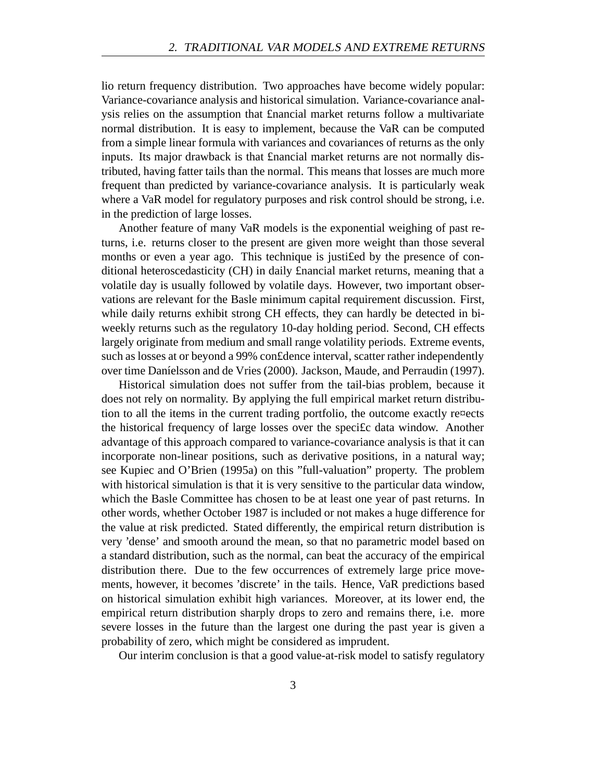lio return frequency distribution. Two approaches have become widely popular: Variance-covariance analysis and historical simulation. Variance-covariance analysis relies on the assumption that £nancial market returns follow a multivariate normal distribution. It is easy to implement, because the VaR can be computed from a simple linear formula with variances and covariances of returns as the only inputs. Its major drawback is that £nancial market returns are not normally distributed, having fatter tails than the normal. This means that losses are much more frequent than predicted by variance-covariance analysis. It is particularly weak where a VaR model for regulatory purposes and risk control should be strong, i.e. in the prediction of large losses.

Another feature of many VaR models is the exponential weighing of past returns, i.e. returns closer to the present are given more weight than those several months or even a year ago. This technique is justi£ed by the presence of conditional heteroscedasticity (CH) in daily £nancial market returns, meaning that a volatile day is usually followed by volatile days. However, two important observations are relevant for the Basle minimum capital requirement discussion. First, while daily returns exhibit strong CH effects, they can hardly be detected in biweekly returns such as the regulatory 10-day holding period. Second, CH effects largely originate from medium and small range volatility periods. Extreme events, such as losses at or beyond a 99% con£dence interval, scatter rather independently over time Daníelsson and de Vries (2000). Jackson, Maude, and Perraudin (1997).

Historical simulation does not suffer from the tail-bias problem, because it does not rely on normality. By applying the full empirical market return distribution to all the items in the current trading portfolio, the outcome exactly re¤ects the historical frequency of large losses over the speci£c data window. Another advantage of this approach compared to variance-covariance analysis is that it can incorporate non-linear positions, such as derivative positions, in a natural way; see Kupiec and O'Brien (1995a) on this "full-valuation" property. The problem with historical simulation is that it is very sensitive to the particular data window, which the Basle Committee has chosen to be at least one year of past returns. In other words, whether October 1987 is included or not makes a huge difference for the value at risk predicted. Stated differently, the empirical return distribution is very 'dense' and smooth around the mean, so that no parametric model based on a standard distribution, such as the normal, can beat the accuracy of the empirical distribution there. Due to the few occurrences of extremely large price movements, however, it becomes 'discrete' in the tails. Hence, VaR predictions based on historical simulation exhibit high variances. Moreover, at its lower end, the empirical return distribution sharply drops to zero and remains there, i.e. more severe losses in the future than the largest one during the past year is given a probability of zero, which might be considered as imprudent.

Our interim conclusion is that a good value-at-risk model to satisfy regulatory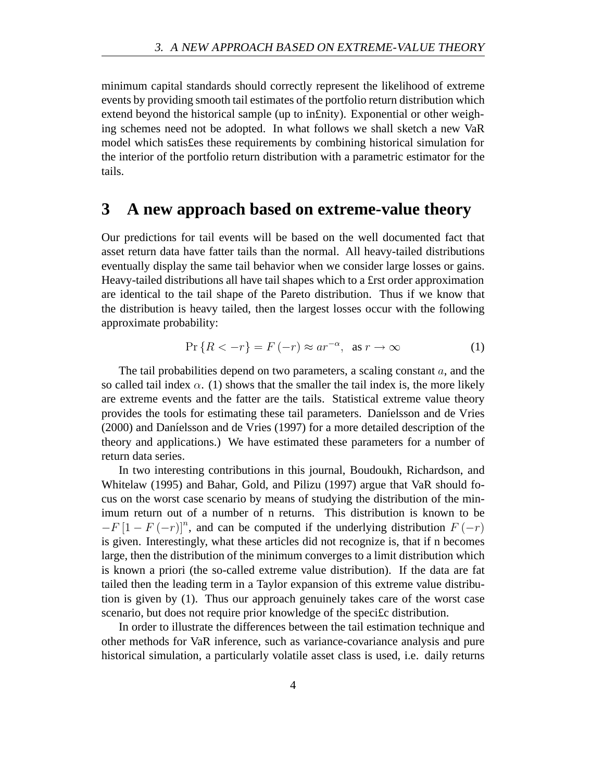minimum capital standards should correctly represent the likelihood of extreme events by providing smooth tail estimates of the portfolio return distribution which extend beyond the historical sample (up to in£nity). Exponential or other weighing schemes need not be adopted. In what follows we shall sketch a new VaR model which satis£es these requirements by combining historical simulation for the interior of the portfolio return distribution with a parametric estimator for the tails.

#### **3 A new approach based on extreme-value theory**

Our predictions for tail events will be based on the well documented fact that asset return data have fatter tails than the normal. All heavy-tailed distributions eventually display the same tail behavior when we consider large losses or gains. Heavy-tailed distributions all have tail shapes which to a £rst order approximation are identical to the tail shape of the Pareto distribution. Thus if we know that the distribution is heavy tailed, then the largest losses occur with the following approximate probability:

$$
\Pr\left\{R < -r\right\} = F\left(-r\right) \approx ar^{-\alpha}, \text{ as } r \to \infty \tag{1}
$$

The tail probabilities depend on two parameters, a scaling constant  $a$ , and the so called tail index  $\alpha$ . (1) shows that the smaller the tail index is, the more likely are extreme events and the fatter are the tails. Statistical extreme value theory provides the tools for estimating these tail parameters. Daníelsson and de Vries  $(2000)$  and Daníelsson and de Vries  $(1997)$  for a more detailed description of the theory and applications.) We have estimated these parameters for a number of return data series.

In two interesting contributions in this journal, Boudoukh, Richardson, and Whitelaw (1995) and Bahar, Gold, and Pilizu (1997) argue that VaR should focus on the worst case scenario by means of studying the distribution of the minimum return out of a number of n returns. This distribution is known to be  $-F [1 - F (-r)]^n$ , and can be computed if the underlying distribution  $F (-r)$ is given. Interestingly, what these articles did not recognize is, that if n becomes large, then the distribution of the minimum converges to a limit distribution which is known a priori (the so-called extreme value distribution). If the data are fat tailed then the leading term in a Taylor expansion of this extreme value distribution is given by (1). Thus our approach genuinely takes care of the worst case scenario, but does not require prior knowledge of the specific distribution.

In order to illustrate the differences between the tail estimation technique and other methods for VaR inference, such as variance-covariance analysis and pure historical simulation, a particularly volatile asset class is used, i.e. daily returns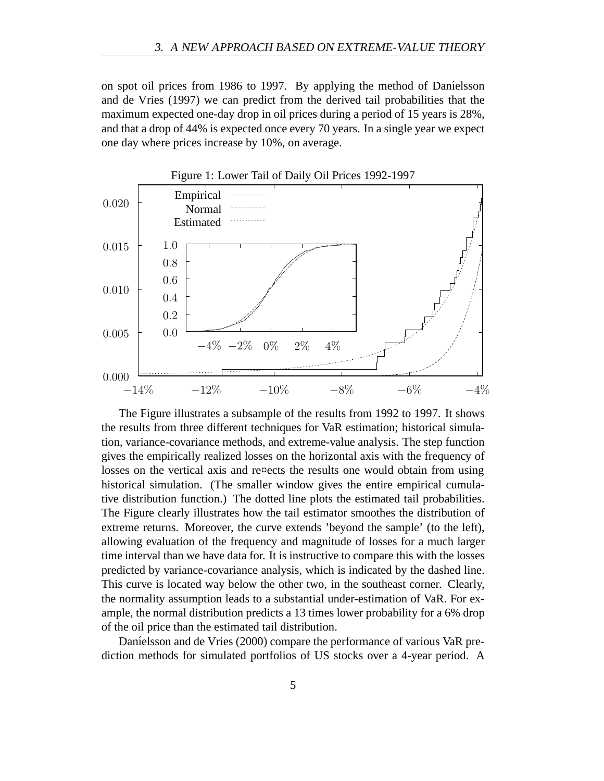on spot oil prices from 1986 to 1997. By applying the method of Daníelsson and de Vries (1997) we can predict from the derived tail probabilities that the maximum expected one-day drop in oil prices during a period of 15 years is 28%, and that a drop of 44% is expected once every 70 years. In a single year we expect one day where prices increase by 10%, on average.



The Figure illustrates a subsample of the results from 1992 to 1997. It shows the results from three different techniques for VaR estimation; historical simulation, variance-covariance methods, and extreme-value analysis. The step function gives the empirically realized losses on the horizontal axis with the frequency of losses on the vertical axis and re¤ects the results one would obtain from using historical simulation. (The smaller window gives the entire empirical cumulative distribution function.) The dotted line plots the estimated tail probabilities. The Figure clearly illustrates how the tail estimator smoothes the distribution of extreme returns. Moreover, the curve extends 'beyond the sample' (to the left), allowing evaluation of the frequency and magnitude of losses for a much larger time interval than we have data for. It is instructive to compare this with the losses predicted by variance-covariance analysis, which is indicated by the dashed line. This curve is located way below the other two, in the southeast corner. Clearly, the normality assumption leads to a substantial under-estimation of VaR. For example, the normal distribution predicts a 13 times lower probability for a 6% drop of the oil price than the estimated tail distribution.

Daníelsson and de Vries (2000) compare the performance of various VaR prediction methods for simulated portfolios of US stocks over a 4-year period. A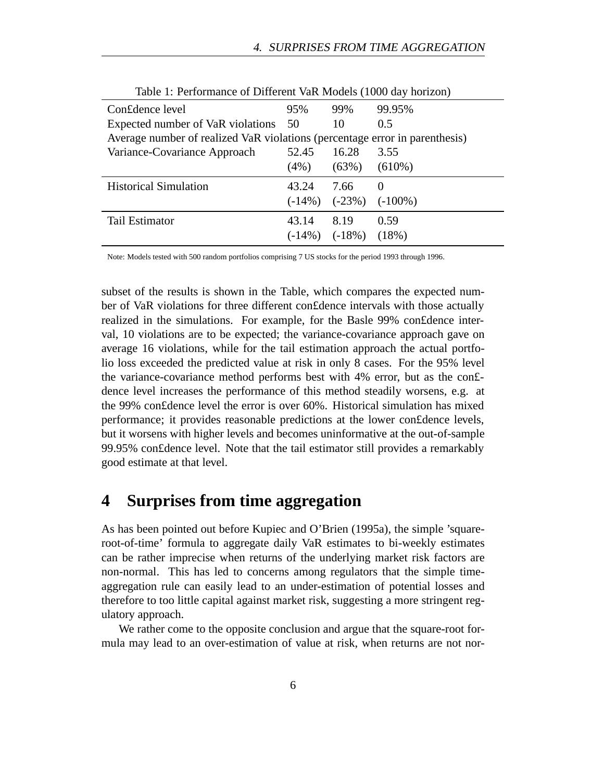| Con£dence level                                                             | 95%     | 99%                 | 99.95%                         |
|-----------------------------------------------------------------------------|---------|---------------------|--------------------------------|
| Expected number of VaR violations 50                                        |         | 10                  | 0.5                            |
| Average number of realized VaR violations (percentage error in parenthesis) |         |                     |                                |
| Variance-Covariance Approach                                                | 52.45   | 16.28               | 3.55                           |
|                                                                             | $(4\%)$ | (63%)               | $(610\%)$                      |
| <b>Historical Simulation</b>                                                | 43.24   | 7.66                | $\theta$                       |
|                                                                             |         |                     | $(-14\%)$ $(-23\%)$ $(-100\%)$ |
| Tail Estimator                                                              | 43.14   | 8.19                | 0.59                           |
|                                                                             |         | $(-14\%)$ $(-18\%)$ | (18%)                          |

Table 1: Performance of Different VaR Models (1000 day horizon)

Note: Models tested with 500 random portfolios comprising 7 US stocks for the period 1993 through 1996.

subset of the results is shown in the Table, which compares the expected number of VaR violations for three different con£dence intervals with those actually realized in the simulations. For example, for the Basle 99% con£dence interval, 10 violations are to be expected; the variance-covariance approach gave on average 16 violations, while for the tail estimation approach the actual portfolio loss exceeded the predicted value at risk in only 8 cases. For the 95% level the variance-covariance method performs best with 4% error, but as the con£ dence level increases the performance of this method steadily worsens, e.g. at the 99% con£dence level the error is over 60%. Historical simulation has mixed performance; it provides reasonable predictions at the lower con£dence levels, but it worsens with higher levels and becomes uninformative at the out-of-sample 99.95% con£dence level. Note that the tail estimator still provides a remarkably good estimate at that level.

### **4 Surprises from time aggregation**

As has been pointed out before Kupiec and O'Brien (1995a), the simple 'squareroot-of-time' formula to aggregate daily VaR estimates to bi-weekly estimates can be rather imprecise when returns of the underlying market risk factors are non-normal. This has led to concerns among regulators that the simple timeaggregation rule can easily lead to an under-estimation of potential losses and therefore to too little capital against market risk, suggesting a more stringent regulatory approach.

We rather come to the opposite conclusion and argue that the square-root formula may lead to an over-estimation of value at risk, when returns are not nor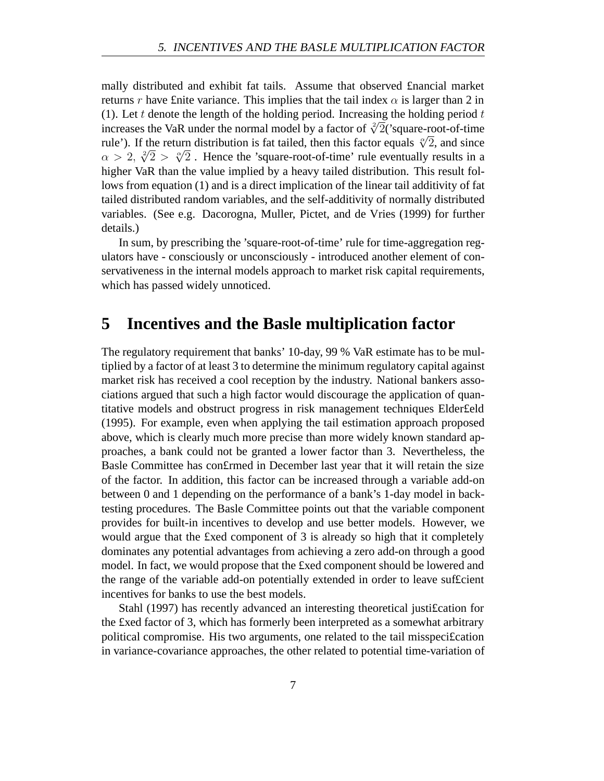mally distributed and exhibit fat tails. Assume that observed £nancial market returns r have £nite variance. This implies that the tail index  $\alpha$  is larger than 2 in (1). Let t denote the length of the holding period. Increasing the holding period  $t$ increases the VaR under the normal model by a factor of  $\sqrt[2]{2}$  ('square-root-of-time rule'). If the return distribution is fat tailed, then this factor equals  $\sqrt[\infty]{2}$ , and since rule ). If the return distribution is fat tailed, then this factor equals  $\sqrt{2}$ , and since  $\alpha > 2$ ,  $\sqrt[3]{2} > \sqrt[3]{2}$ . Hence the 'square-root-of-time' rule eventually results in a higher VaR than the value implied by a heavy tailed distribution. This result follows from equation (1) and is a direct implication of the linear tail additivity of fat tailed distributed random variables, and the self-additivity of normally distributed variables. (See e.g. Dacorogna, Muller, Pictet, and de Vries (1999) for further details.)

In sum, by prescribing the 'square-root-of-time' rule for time-aggregation regulators have - consciously or unconsciously - introduced another element of conservativeness in the internal models approach to market risk capital requirements, which has passed widely unnoticed.

# **5 Incentives and the Basle multiplication factor**

The regulatory requirement that banks' 10-day, 99 % VaR estimate has to be multiplied by a factor of at least 3 to determine the minimum regulatory capital against market risk has received a cool reception by the industry. National bankers associations argued that such a high factor would discourage the application of quantitative models and obstruct progress in risk management techniques Elder£eld (1995). For example, even when applying the tail estimation approach proposed above, which is clearly much more precise than more widely known standard approaches, a bank could not be granted a lower factor than 3. Nevertheless, the Basle Committee has con£rmed in December last year that it will retain the size of the factor. In addition, this factor can be increased through a variable add-on between 0 and 1 depending on the performance of a bank's 1-day model in backtesting procedures. The Basle Committee points out that the variable component provides for built-in incentives to develop and use better models. However, we would argue that the £xed component of 3 is already so high that it completely dominates any potential advantages from achieving a zero add-on through a good model. In fact, we would propose that the £xed component should be lowered and the range of the variable add-on potentially extended in order to leave suf£cient incentives for banks to use the best models.

Stahl (1997) has recently advanced an interesting theoretical justi£cation for the £xed factor of 3, which has formerly been interpreted as a somewhat arbitrary political compromise. His two arguments, one related to the tail misspeci£cation in variance-covariance approaches, the other related to potential time-variation of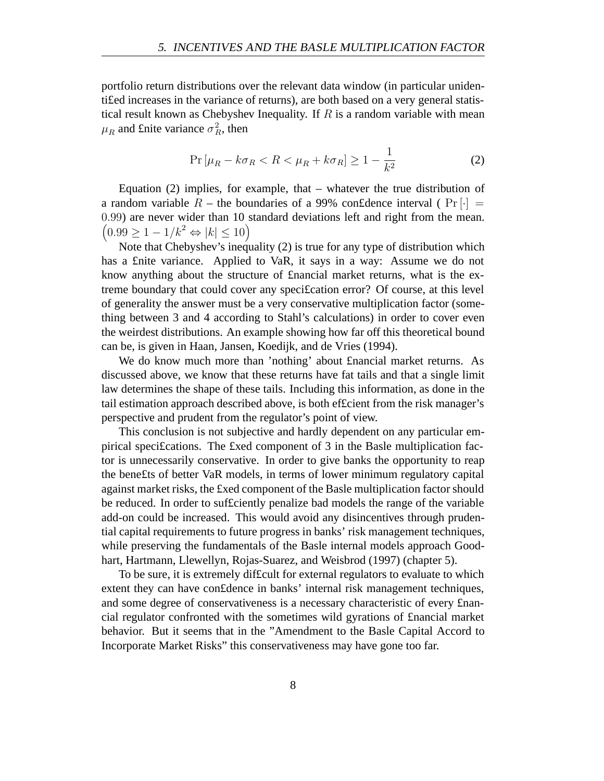portfolio return distributions over the relevant data window (in particular unidenti£ed increases in the variance of returns), are both based on a very general statistical result known as Chebyshev Inequality. If  $R$  is a random variable with mean  $\mu_R$  and £nite variance  $\sigma_R^2$ , then

$$
\Pr\left[\mu_R - k\sigma_R < R < \mu_R + k\sigma_R\right] \ge 1 - \frac{1}{k^2} \tag{2}
$$

Equation (2) implies, for example, that – whatever the true distribution of a random variable R – the boundaries of a 99% confidence interval ( $Pr[\cdot] =$ 0.99) are never wider than 10 standard deviations left and right from the mean.  $(0.99 \ge 1 - 1/k^2 \Leftrightarrow |k| \le 10)$ 

Note that Chebyshev's inequality (2) is true for any type of distribution which has a £nite variance. Applied to VaR, it says in a way: Assume we do not know anything about the structure of £nancial market returns, what is the extreme boundary that could cover any speci£cation error? Of course, at this level of generality the answer must be a very conservative multiplication factor (something between 3 and 4 according to Stahl's calculations) in order to cover even the weirdest distributions. An example showing how far off this theoretical bound can be, is given in Haan, Jansen, Koedijk, and de Vries (1994).

We do know much more than 'nothing' about £nancial market returns. As discussed above, we know that these returns have fat tails and that a single limit law determines the shape of these tails. Including this information, as done in the tail estimation approach described above, is both ef£cient from the risk manager's perspective and prudent from the regulator's point of view.

This conclusion is not subjective and hardly dependent on any particular empirical speci£cations. The £xed component of 3 in the Basle multiplication factor is unnecessarily conservative. In order to give banks the opportunity to reap the bene£ts of better VaR models, in terms of lower minimum regulatory capital against market risks, the £xed component of the Basle multiplication factor should be reduced. In order to suf£ciently penalize bad models the range of the variable add-on could be increased. This would avoid any disincentives through prudential capital requirements to future progress in banks' risk management techniques, while preserving the fundamentals of the Basle internal models approach Goodhart, Hartmann, Llewellyn, Rojas-Suarez, and Weisbrod (1997) (chapter 5).

To be sure, it is extremely dif£cult for external regulators to evaluate to which extent they can have con£dence in banks' internal risk management techniques, and some degree of conservativeness is a necessary characteristic of every £nancial regulator confronted with the sometimes wild gyrations of £nancial market behavior. But it seems that in the "Amendment to the Basle Capital Accord to Incorporate Market Risks" this conservativeness may have gone too far.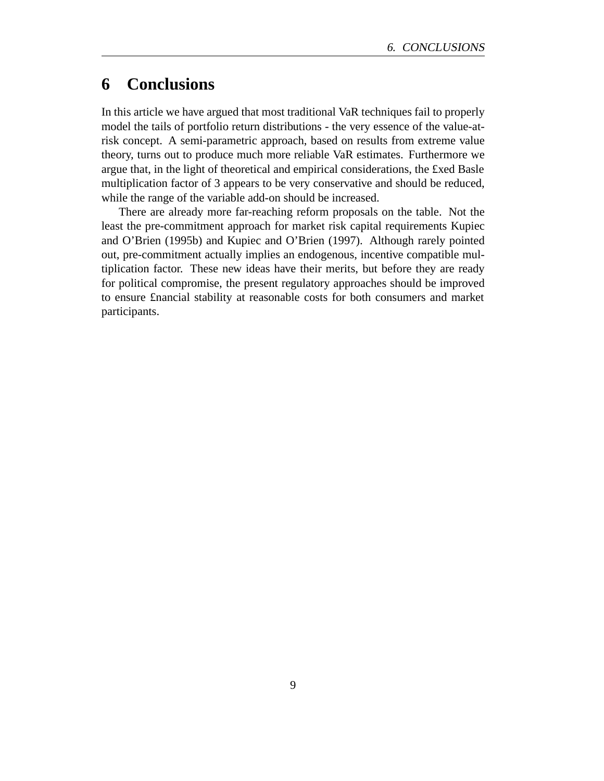# **6 Conclusions**

In this article we have argued that most traditional VaR techniques fail to properly model the tails of portfolio return distributions - the very essence of the value-atrisk concept. A semi-parametric approach, based on results from extreme value theory, turns out to produce much more reliable VaR estimates. Furthermore we argue that, in the light of theoretical and empirical considerations, the £xed Basle multiplication factor of 3 appears to be very conservative and should be reduced, while the range of the variable add-on should be increased.

There are already more far-reaching reform proposals on the table. Not the least the pre-commitment approach for market risk capital requirements Kupiec and O'Brien (1995b) and Kupiec and O'Brien (1997). Although rarely pointed out, pre-commitment actually implies an endogenous, incentive compatible multiplication factor. These new ideas have their merits, but before they are ready for political compromise, the present regulatory approaches should be improved to ensure £nancial stability at reasonable costs for both consumers and market participants.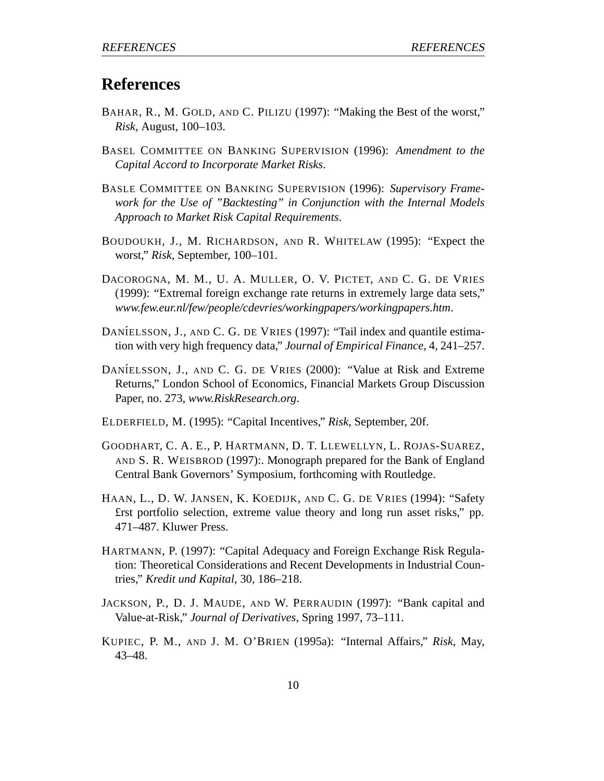## **References**

- BAHAR, R., M. GOLD, AND C. PILIZU (1997): "Making the Best of the worst," *Risk*, August, 100–103.
- BASEL COMMITTEE ON BANKING SUPERVISION (1996): *Amendment to the Capital Accord to Incorporate Market Risks*.
- BASLE COMMITTEE ON BANKING SUPERVISION (1996): *Supervisory Framework for the Use of "Backtesting" in Conjunction with the Internal Models Approach to Market Risk Capital Requirements*.
- BOUDOUKH, J., M. RICHARDSON, AND R. WHITELAW (1995): "Expect the worst," *Risk*, September, 100–101.
- DACOROGNA, M. M., U. A. MULLER, O. V. PICTET, AND C. G. DE VRIES (1999): "Extremal foreign exchange rate returns in extremely large data sets," *www.few.eur.nl/few/people/cdevries/workingpapers/workingpapers.htm*.
- DANÍELSSON, J., AND C. G. DE VRIES (1997): "Tail index and quantile estimation with very high frequency data," *Journal of Empirical Finance*, 4, 241–257.
- DANÍELSSON, J., AND C. G. DE VRIES (2000): "Value at Risk and Extreme Returns," London School of Economics, Financial Markets Group Discussion Paper, no. 273, *www.RiskResearch.org*.
- ELDERFIELD, M. (1995): "Capital Incentives," *Risk*, September, 20f.
- GOODHART, C. A. E., P. HARTMANN, D. T. LLEWELLYN, L. ROJAS-SUAREZ, AND S. R. WEISBROD (1997):. Monograph prepared for the Bank of England Central Bank Governors' Symposium, forthcoming with Routledge.
- HAAN, L., D. W. JANSEN, K. KOEDIJK, AND C. G. DE VRIES (1994): "Safety £rst portfolio selection, extreme value theory and long run asset risks," pp. 471–487. Kluwer Press.
- HARTMANN, P. (1997): "Capital Adequacy and Foreign Exchange Risk Regulation: Theoretical Considerations and Recent Developments in Industrial Countries," *Kredit und Kapital*, 30, 186–218.
- JACKSON, P., D. J. MAUDE, AND W. PERRAUDIN (1997): "Bank capital and Value-at-Risk," *Journal of Derivatives*, Spring 1997, 73–111.
- KUPIEC, P. M., AND J. M. O'BRIEN (1995a): "Internal Affairs," *Risk*, May, 43–48.